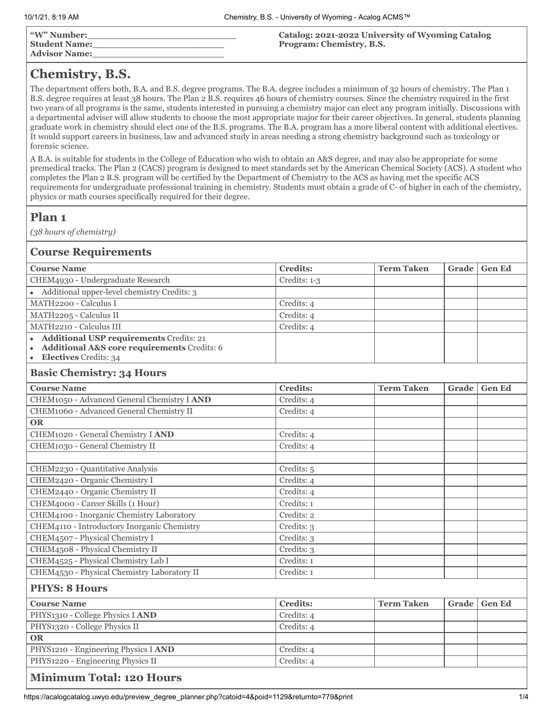| "W" Number:<br>  Student Name:<br>  Advisor Name: | Catalog: 2021-2022 University of Wyoming Catalog<br><b>Program: Chemistry, B.S.</b> |
|---------------------------------------------------|-------------------------------------------------------------------------------------|
|                                                   |                                                                                     |

## **Chemistry, B.S.**

The department offers both, B.A. and B.S. degree programs. The B.A. degree includes a minimum of 32 hours of chemistry. The Plan 1 B.S. degree requires at least 38 hours. The Plan 2 B.S. requires 46 hours of chemistry courses. Since the chemistry required in the first two years of all programs is the same, students interested in pursuing a chemistry major can elect any program initially. Discussions with a departmental adviser will allow students to choose the most appropriate major for their career objectives. In general, students planning graduate work in chemistry should elect one of the B.S. programs. The B.A. program has a more liberal content with additional electives. It would support careers in business, law and advanced study in areas needing a strong chemistry background such as toxicology or forensic science.

A B.A. is suitable for students in the College of Education who wish to obtain an A&S degree, and may also be appropriate for some premedical tracks. The Plan 2 (CACS) program is designed to meet standards set by the American Chemical Society (ACS). A student who completes the Plan 2 B.S. program will be certified by the Department of Chemistry to the ACS as having met the specific ACS requirements for undergraduate professional training in chemistry. Students must obtain a grade of C- of higher in each of the chemistry, physics or math courses specifically required for their degree.

## **Plan 1**

*(38 hours of chemistry)*

| <b>Course Requirements</b>                                                                                            |                 |                   |       |               |  |
|-----------------------------------------------------------------------------------------------------------------------|-----------------|-------------------|-------|---------------|--|
| <b>Course Name</b>                                                                                                    | <b>Credits:</b> | <b>Term Taken</b> | Grade | <b>Gen Ed</b> |  |
| CHEM4930 - Undergraduate Research                                                                                     | Credits: 1-3    |                   |       |               |  |
| • Additional upper-level chemistry Credits: 3                                                                         |                 |                   |       |               |  |
| MATH2200 - Calculus I                                                                                                 | Credits: 4      |                   |       |               |  |
| MATH2205 - Calculus II                                                                                                | Credits: 4      |                   |       |               |  |
| MATH2210 - Calculus III                                                                                               | Credits: 4      |                   |       |               |  |
| • Additional USP requirements Credits: 21<br>• Additional A&S core requirements Credits: 6<br>• Electives Credits: 34 |                 |                   |       |               |  |
| <b>Basic Chemistry: 34 Hours</b>                                                                                      |                 |                   |       |               |  |
| <b>Course Name</b>                                                                                                    | <b>Credits:</b> | <b>Term Taken</b> | Grade | <b>Gen Ed</b> |  |
| CHEM1050 - Advanced General Chemistry I AND                                                                           | Credits: 4      |                   |       |               |  |
| CHEM1060 - Advanced General Chemistry II                                                                              | Credits: 4      |                   |       |               |  |
| <b>OR</b>                                                                                                             |                 |                   |       |               |  |
| CHEM1020 - General Chemistry I AND                                                                                    | Credits: 4      |                   |       |               |  |
| CHEM1030 - General Chemistry II                                                                                       | Credits: 4      |                   |       |               |  |
|                                                                                                                       |                 |                   |       |               |  |
| CHEM2230 - Quantitative Analysis                                                                                      | Credits: 5      |                   |       |               |  |
| CHEM2420 - Organic Chemistry I                                                                                        | Credits: 4      |                   |       |               |  |
| CHEM2440 - Organic Chemistry II                                                                                       | Credits: 4      |                   |       |               |  |
| CHEM4000 - Career Skills (1 Hour)                                                                                     | Credits: 1      |                   |       |               |  |
| CHEM4100 - Inorganic Chemistry Laboratory                                                                             | Credits: 2      |                   |       |               |  |
| CHEM4110 - Introductory Inorganic Chemistry                                                                           | Credits: 3      |                   |       |               |  |
| CHEM4507 - Physical Chemistry I                                                                                       | Credits: 3      |                   |       |               |  |
| CHEM4508 - Physical Chemistry II                                                                                      | Credits: 3      |                   |       |               |  |
| CHEM4525 - Physical Chemistry Lab I                                                                                   | Credits: 1      |                   |       |               |  |
| CHEM4530 - Physical Chemistry Laboratory II                                                                           | Credits: 1      |                   |       |               |  |
| <b>PHYS: 8 Hours</b>                                                                                                  |                 |                   |       |               |  |
| <b>Course Name</b>                                                                                                    | <b>Credits:</b> | <b>Term Taken</b> | Grade | <b>Gen Ed</b> |  |
| PHYS1310 - College Physics I AND                                                                                      | Credits: 4      |                   |       |               |  |
| PHYS1320 - College Physics II                                                                                         | Credits: 4      |                   |       |               |  |
| <b>OR</b>                                                                                                             |                 |                   |       |               |  |
| PHYS1210 - Engineering Physics I AND                                                                                  | Credits: 4      |                   |       |               |  |
| PHYS1220 - Engineering Physics II                                                                                     | Credits: 4      |                   |       |               |  |
| <b>Minimum Total: 120 Hours</b>                                                                                       |                 |                   |       |               |  |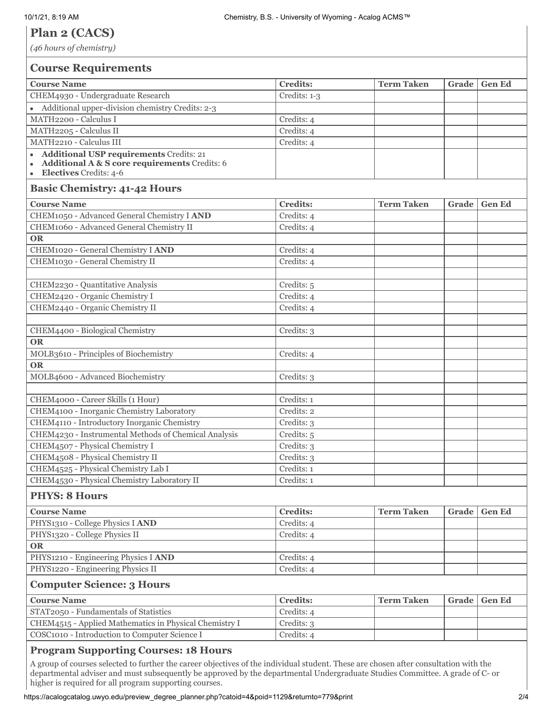## **Plan 2 (CACS)**

*(46 hours of chemistry)*

| <b>Course Requirements</b>                                                                                                       |                 |                   |       |               |
|----------------------------------------------------------------------------------------------------------------------------------|-----------------|-------------------|-------|---------------|
| <b>Course Name</b>                                                                                                               | <b>Credits:</b> | <b>Term Taken</b> | Grade | <b>Gen Ed</b> |
| CHEM4930 - Undergraduate Research                                                                                                | Credits: 1-3    |                   |       |               |
| • Additional upper-division chemistry Credits: 2-3                                                                               |                 |                   |       |               |
| MATH2200 - Calculus I                                                                                                            | Credits: 4      |                   |       |               |
| MATH2205 - Calculus II                                                                                                           | Credits: 4      |                   |       |               |
| MATH2210 - Calculus III                                                                                                          | Credits: 4      |                   |       |               |
| <b>Additional USP requirements Credits: 21</b><br>Additional A & S core requirements Credits: 6<br><b>Electives</b> Credits: 4-6 |                 |                   |       |               |
| <b>Basic Chemistry: 41-42 Hours</b>                                                                                              |                 |                   |       |               |
| <b>Course Name</b>                                                                                                               | <b>Credits:</b> | <b>Term Taken</b> | Grade | <b>Gen Ed</b> |
| CHEM1050 - Advanced General Chemistry I AND                                                                                      | Credits: 4      |                   |       |               |
| CHEM1060 - Advanced General Chemistry II                                                                                         | Credits: 4      |                   |       |               |
| <b>OR</b>                                                                                                                        |                 |                   |       |               |
| CHEM1020 - General Chemistry I AND                                                                                               | Credits: 4      |                   |       |               |
| CHEM1030 - General Chemistry II                                                                                                  | Credits: 4      |                   |       |               |
|                                                                                                                                  |                 |                   |       |               |
| CHEM2230 - Quantitative Analysis                                                                                                 | Credits: 5      |                   |       |               |
| CHEM2420 - Organic Chemistry I                                                                                                   | Credits: 4      |                   |       |               |
| CHEM2440 - Organic Chemistry II                                                                                                  | Credits: 4      |                   |       |               |
|                                                                                                                                  |                 |                   |       |               |
| CHEM4400 - Biological Chemistry                                                                                                  | Credits: 3      |                   |       |               |
| <b>OR</b>                                                                                                                        |                 |                   |       |               |
| MOLB3610 - Principles of Biochemistry                                                                                            | Credits: 4      |                   |       |               |
| <b>OR</b>                                                                                                                        |                 |                   |       |               |
| MOLB4600 - Advanced Biochemistry                                                                                                 | Credits: 3      |                   |       |               |
|                                                                                                                                  |                 |                   |       |               |
| CHEM4000 - Career Skills (1 Hour)                                                                                                | Credits: 1      |                   |       |               |
| CHEM4100 - Inorganic Chemistry Laboratory                                                                                        | Credits: 2      |                   |       |               |
| CHEM4110 - Introductory Inorganic Chemistry                                                                                      | Credits: 3      |                   |       |               |
| CHEM4230 - Instrumental Methods of Chemical Analysis                                                                             | Credits: 5      |                   |       |               |
| CHEM4507 - Physical Chemistry I                                                                                                  | Credits: 3      |                   |       |               |
| CHEM4508 - Physical Chemistry II                                                                                                 | Credits: 3      |                   |       |               |
| CHEM4525 - Physical Chemistry Lab I                                                                                              | Credits: 1      |                   |       |               |
| CHEM4530 - Physical Chemistry Laboratory II                                                                                      | Credits: 1      |                   |       |               |
| <b>PHYS: 8 Hours</b>                                                                                                             |                 |                   |       |               |
| <b>Course Name</b>                                                                                                               | <b>Credits:</b> | <b>Term Taken</b> | Grade | <b>Gen Ed</b> |
| PHYS1310 - College Physics I AND                                                                                                 | Credits: 4      |                   |       |               |
| PHYS1320 - College Physics II                                                                                                    | Credits: 4      |                   |       |               |
| <b>OR</b>                                                                                                                        |                 |                   |       |               |
| PHYS1210 - Engineering Physics I AND                                                                                             | Credits: 4      |                   |       |               |
| PHYS1220 - Engineering Physics II                                                                                                | Credits: 4      |                   |       |               |
| <b>Computer Science: 3 Hours</b>                                                                                                 |                 |                   |       |               |
| <b>Course Name</b>                                                                                                               | <b>Credits:</b> | <b>Term Taken</b> | Grade | <b>Gen Ed</b> |
| STAT2050 - Fundamentals of Statistics                                                                                            | Credits: 4      |                   |       |               |
| CHEM4515 - Applied Mathematics in Physical Chemistry I                                                                           | Credits: 3      |                   |       |               |
| COSC1010 - Introduction to Computer Science I                                                                                    | Credits: 4      |                   |       |               |
| <b>Program Supporting Courses: 18 Hours</b>                                                                                      |                 |                   |       |               |

A group of courses selected to further the career objectives of the individual student. These are chosen after consultation with the departmental adviser and must subsequently be approved by the departmental Undergraduate Studies Committee. A grade of C- or higher is required for all program supporting courses.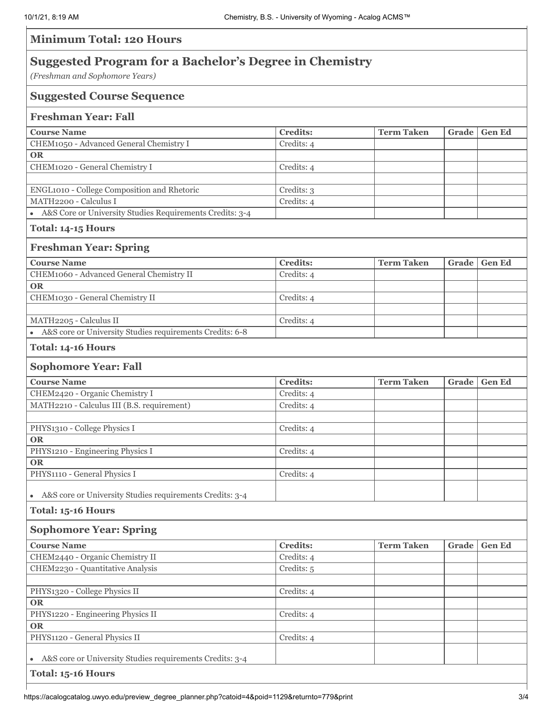| <b>Minimum Total: 120 Hours</b>                                                                 |                 |                   |       |               |  |  |
|-------------------------------------------------------------------------------------------------|-----------------|-------------------|-------|---------------|--|--|
| <b>Suggested Program for a Bachelor's Degree in Chemistry</b><br>(Freshman and Sophomore Years) |                 |                   |       |               |  |  |
| <b>Suggested Course Sequence</b>                                                                |                 |                   |       |               |  |  |
| <b>Freshman Year: Fall</b>                                                                      |                 |                   |       |               |  |  |
| <b>Course Name</b>                                                                              | <b>Credits:</b> | <b>Term Taken</b> | Grade | <b>Gen Ed</b> |  |  |
| CHEM1050 - Advanced General Chemistry I                                                         | Credits: 4      |                   |       |               |  |  |
| <b>OR</b>                                                                                       |                 |                   |       |               |  |  |
| CHEM1020 - General Chemistry I                                                                  | Credits: 4      |                   |       |               |  |  |
|                                                                                                 |                 |                   |       |               |  |  |
| ENGL1010 - College Composition and Rhetoric                                                     | Credits: 3      |                   |       |               |  |  |
| MATH2200 - Calculus I                                                                           | Credits: 4      |                   |       |               |  |  |
| • A&S Core or University Studies Requirements Credits: 3-4                                      |                 |                   |       |               |  |  |
| Total: 14-15 Hours                                                                              |                 |                   |       |               |  |  |
| <b>Freshman Year: Spring</b>                                                                    |                 |                   |       |               |  |  |
| <b>Course Name</b>                                                                              | <b>Credits:</b> | <b>Term Taken</b> | Grade | <b>Gen Ed</b> |  |  |
| CHEM1060 - Advanced General Chemistry II                                                        | Credits: 4      |                   |       |               |  |  |
| <b>OR</b>                                                                                       |                 |                   |       |               |  |  |
| CHEM1030 - General Chemistry II                                                                 | Credits: 4      |                   |       |               |  |  |
|                                                                                                 |                 |                   |       |               |  |  |
| MATH2205 - Calculus II<br>A&S core or University Studies requirements Credits: 6-8              | Credits: 4      |                   |       |               |  |  |
|                                                                                                 |                 |                   |       |               |  |  |
| Total: 14-16 Hours                                                                              |                 |                   |       |               |  |  |
| <b>Sophomore Year: Fall</b>                                                                     |                 |                   |       |               |  |  |
| <b>Course Name</b>                                                                              | <b>Credits:</b> | <b>Term Taken</b> | Grade | <b>Gen Ed</b> |  |  |
| CHEM2420 - Organic Chemistry I                                                                  | Credits: 4      |                   |       |               |  |  |
| MATH2210 - Calculus III (B.S. requirement)                                                      | Credits: 4      |                   |       |               |  |  |
|                                                                                                 |                 |                   |       |               |  |  |
| PHYS1310 - College Physics I                                                                    | Credits: 4      |                   |       |               |  |  |
| <b>OR</b>                                                                                       |                 |                   |       |               |  |  |
| PHYS1210 - Engineering Physics I                                                                | Credits: 4      |                   |       |               |  |  |
| <b>OR</b><br>PHYS1110 - General Physics I                                                       | Credits: 4      |                   |       |               |  |  |
|                                                                                                 |                 |                   |       |               |  |  |
| A&S core or University Studies requirements Credits: 3-4<br>$\bullet$                           |                 |                   |       |               |  |  |
| Total: 15-16 Hours                                                                              |                 |                   |       |               |  |  |
| <b>Sophomore Year: Spring</b>                                                                   |                 |                   |       |               |  |  |
| <b>Course Name</b>                                                                              | <b>Credits:</b> | <b>Term Taken</b> | Grade | <b>Gen Ed</b> |  |  |
| CHEM2440 - Organic Chemistry II                                                                 | Credits: 4      |                   |       |               |  |  |
| CHEM2230 - Quantitative Analysis                                                                | Credits: 5      |                   |       |               |  |  |
|                                                                                                 |                 |                   |       |               |  |  |
| PHYS1320 - College Physics II                                                                   | Credits: 4      |                   |       |               |  |  |
| <b>OR</b>                                                                                       |                 |                   |       |               |  |  |
| PHYS1220 - Engineering Physics II                                                               | Credits: 4      |                   |       |               |  |  |
| <b>OR</b>                                                                                       |                 |                   |       |               |  |  |
| PHYS1120 - General Physics II                                                                   | Credits: 4      |                   |       |               |  |  |
| A&S core or University Studies requirements Credits: 3-4                                        |                 |                   |       |               |  |  |
| Total: 15-16 Hours                                                                              |                 |                   |       |               |  |  |
|                                                                                                 |                 |                   |       |               |  |  |